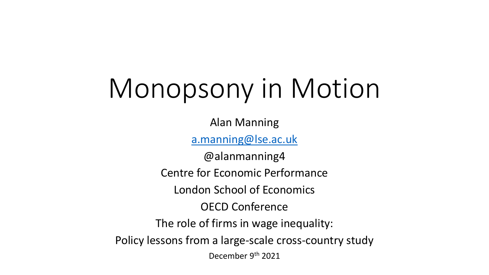# Monopsony in Motion

Alan Manning

[a.manning@lse.ac.uk](mailto:a.manning@lse.ac.uk)

@alanmanning4 Centre for Economic Performance London School of Economics OECD Conference The role of firms in wage inequality: Policy lessons from a large-scale cross-country study December 9th 2021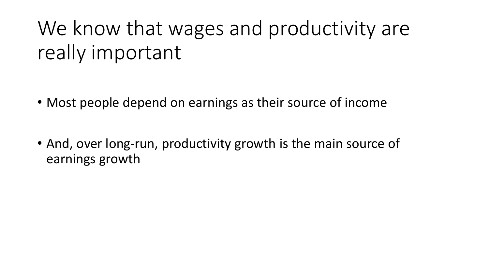# We know that wages and productivity are really important

- Most people depend on earnings as their source of income
- And, over long-run, productivity growth is the main source of earnings growth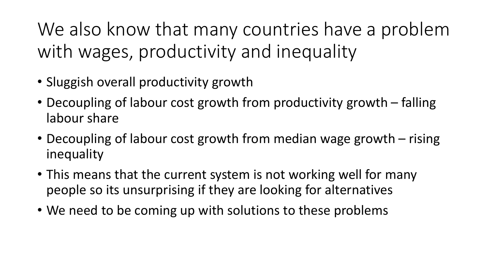We also know that many countries have a problem with wages, productivity and inequality

- Sluggish overall productivity growth
- Decoupling of labour cost growth from productivity growth falling labour share
- Decoupling of labour cost growth from median wage growth rising inequality
- This means that the current system is not working well for many people so its unsurprising if they are looking for alternatives
- We need to be coming up with solutions to these problems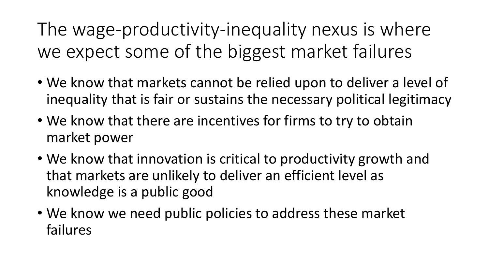The wage-productivity-inequality nexus is where we expect some of the biggest market failures

- We know that markets cannot be relied upon to deliver a level of inequality that is fair or sustains the necessary political legitimacy
- We know that there are incentives for firms to try to obtain market power
- We know that innovation is critical to productivity growth and that markets are unlikely to deliver an efficient level as knowledge is a public good
- We know we need public policies to address these market failures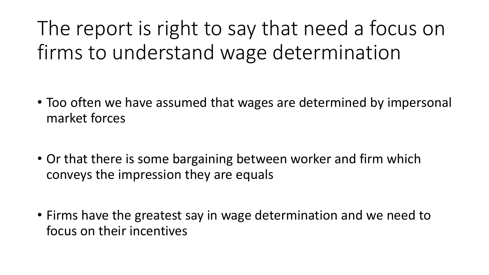The report is right to say that need a focus on firms to understand wage determination

- Too often we have assumed that wages are determined by impersonal market forces
- Or that there is some bargaining between worker and firm which conveys the impression they are equals
- Firms have the greatest say in wage determination and we need to focus on their incentives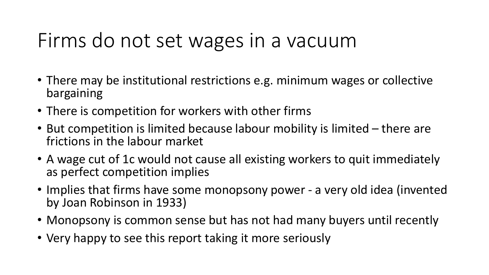#### Firms do not set wages in a vacuum

- There may be institutional restrictions e.g. minimum wages or collective bargaining
- There is competition for workers with other firms
- But competition is limited because labour mobility is limited there are frictions in the labour market
- A wage cut of 1c would not cause all existing workers to quit immediately as perfect competition implies
- Implies that firms have some monopsony power a very old idea (invented by Joan Robinson in 1933)
- Monopsony is common sense but has not had many buyers until recently
- Very happy to see this report taking it more seriously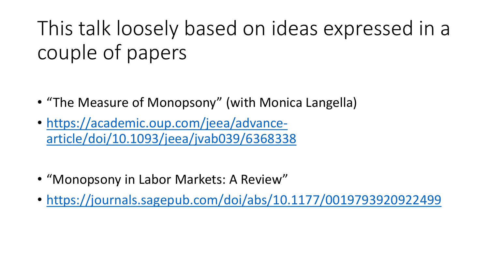# This talk loosely based on ideas expressed in a couple of papers

- "The Measure of Monopsony" (with Monica Langella)
- https://academic.oup.com/jeea/advance[article/doi/10.1093/jeea/jvab039/6368338](https://academic.oup.com/jeea/advance-article/doi/10.1093/jeea/jvab039/6368338)
- "Monopsony in Labor Markets: A Review"
- <https://journals.sagepub.com/doi/abs/10.1177/0019793920922499>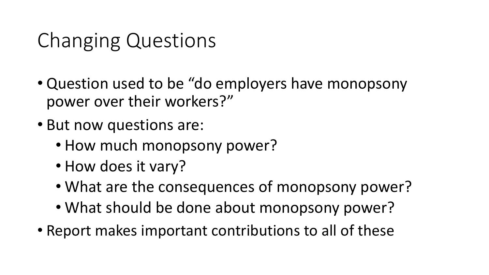## Changing Questions

- Question used to be "do employers have monopsony power over their workers?"
- But now questions are:
	- How much monopsony power?
	- How does it vary?
	- What are the consequences of monopsony power?
	- What should be done about monopsony power?
- Report makes important contributions to all of these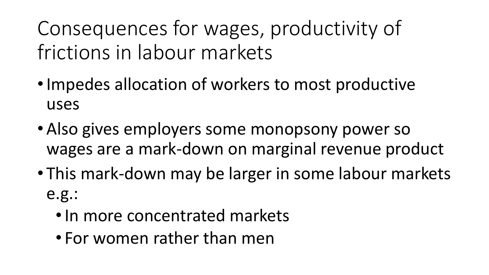Consequences for wages, productivity of frictions in labour markets

- •Impedes allocation of workers to most productive uses
- Also gives employers some monopsony power so wages are a mark-down on marginal revenue product
- This mark-down may be larger in some labour markets e.g.:
	- •In more concentrated markets
	- For women rather than men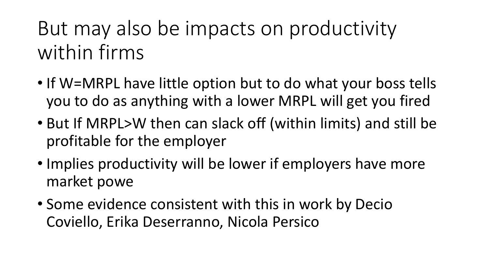But may also be impacts on productivity within firms

- If W=MRPL have little option but to do what your boss tells you to do as anything with a lower MRPL will get you fired
- But If MRPL>W then can slack off (within limits) and still be profitable for the employer
- Implies productivity will be lower if employers have more market powe
- Some evidence consistent with this in work by Decio Coviello, Erika Deserranno, Nicola Persico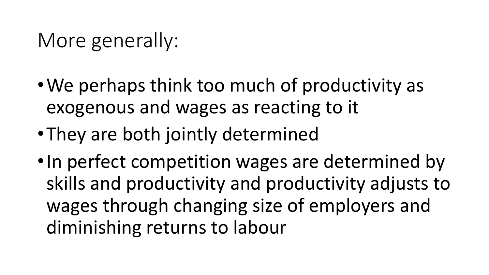#### More generally:

- •We perhaps think too much of productivity as exogenous and wages as reacting to it
- •They are both jointly determined
- •In perfect competition wages are determined by skills and productivity and productivity adjusts to wages through changing size of employers and diminishing returns to labour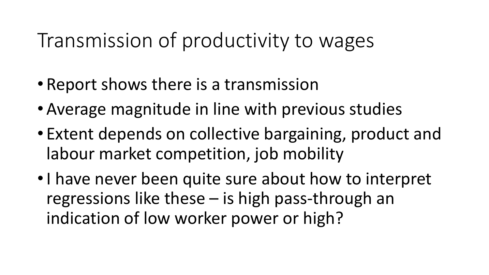#### Transmission of productivity to wages

- Report shows there is a transmission
- Average magnitude in line with previous studies
- Extent depends on collective bargaining, product and labour market competition, job mobility
- •I have never been quite sure about how to interpret regressions like these – is high pass-through an indication of low worker power or high?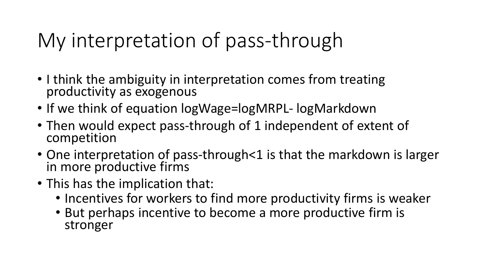## My interpretation of pass-through

- I think the ambiguity in interpretation comes from treating productivity as exogenous
- If we think of equation logWage=logMRPL- logMarkdown
- Then would expect pass-through of 1 independent of extent of competition
- One interpretation of pass-through<1 is that the markdown is larger in more productive firms
- This has the implication that:
	- Incentives for workers to find more productivity firms is weaker
	- But perhaps incentive to become a more productive firm is stronger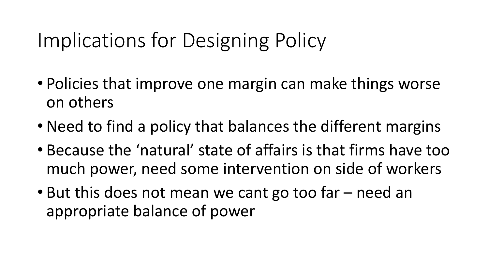## Implications for Designing Policy

- Policies that improve one margin can make things worse on others
- Need to find a policy that balances the different margins
- Because the 'natural' state of affairs is that firms have too much power, need some intervention on side of workers
- But this does not mean we cant go too far need an appropriate balance of power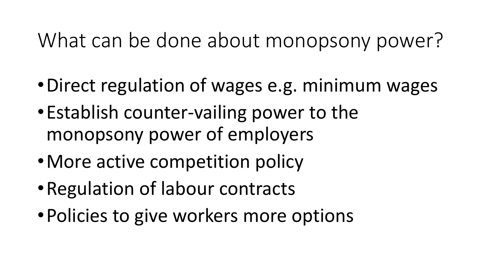## What can be done about monopsony power?

- •Direct regulation of wages e.g. minimum wages
- •Establish counter-vailing power to the monopsony power of employers
- More active competition policy
- •Regulation of labour contracts
- •Policies to give workers more options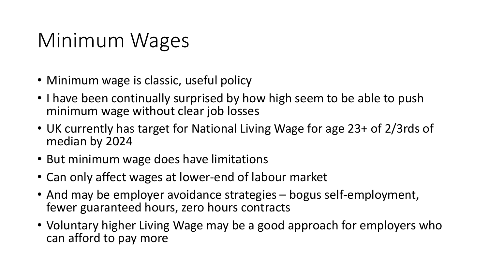#### Minimum Wages

- Minimum wage is classic, useful policy
- I have been continually surprised by how high seem to be able to push minimum wage without clear job losses
- UK currently has target for National Living Wage for age 23+ of 2/3rds of median by 2024
- But minimum wage does have limitations
- Can only affect wages at lower-end of labour market
- And may be employer avoidance strategies bogus self-employment, fewer guaranteed hours, zero hours contracts
- Voluntary higher Living Wage may be a good approach for employers who can afford to pay more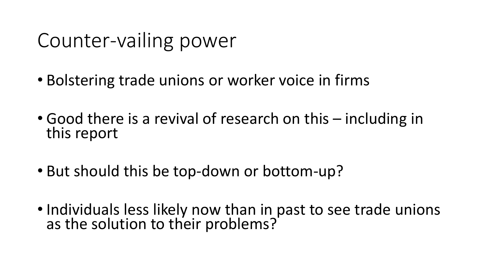## Counter-vailing power

- Bolstering trade unions or worker voice in firms
- Good there is a revival of research on this including in this report
- But should this be top-down or bottom-up?
- Individuals less likely now than in past to see trade unions as the solution to their problems?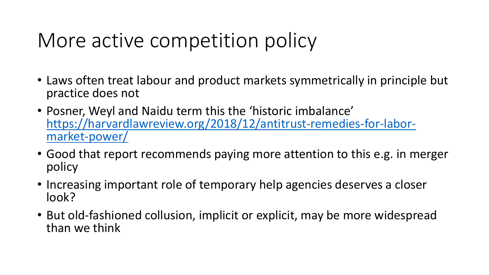## More active competition policy

- Laws often treat labour and product markets symmetrically in principle but practice does not
- Posner, Weyl and Naidu term this the 'historic imbalance' [https://harvardlawreview.org/2018/12/antitrust-remedies-for-labor](https://harvardlawreview.org/2018/12/antitrust-remedies-for-labor-market-power/)market-power/
- Good that report recommends paying more attention to this e.g. in merger policy
- Increasing important role of temporary help agencies deserves a closer look?
- But old-fashioned collusion, implicit or explicit, may be more widespread than we think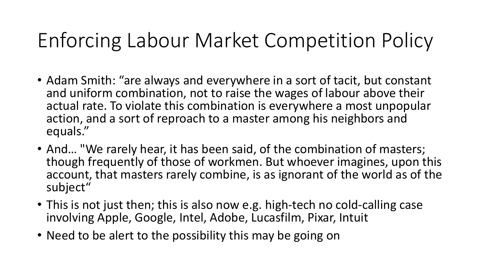## Enforcing Labour Market Competition Policy

- Adam Smith: "are always and everywhere in a sort of tacit, but constant and uniform combination, not to raise the wages of labour above their actual rate. To violate this combination is everywhere a most unpopular action, and a sort of reproach to a master among his neighbors and equals."
- And… "We rarely hear, it has been said, of the combination of masters; though frequently of those of workmen. But whoever imagines, upon this account, that masters rarely combine, is as ignorant of the world as of the subject"
- This is not just then; this is also now e.g. high-tech no cold-calling case involving Apple, Google, Intel, Adobe, Lucasfilm, Pixar, Intuit
- Need to be alert to the possibility this may be going on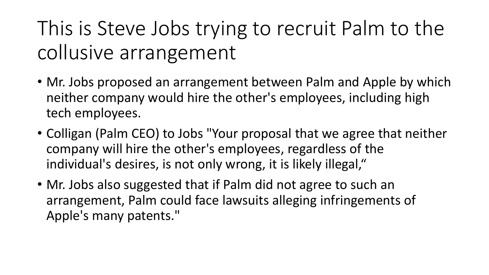# This is Steve Jobs trying to recruit Palm to the collusive arrangement

- Mr. Jobs proposed an arrangement between Palm and Apple by which neither company would hire the other's employees, including high tech employees.
- Colligan (Palm CEO) to Jobs "Your proposal that we agree that neither company will hire the other's employees, regardless of the individual's desires, is not only wrong, it is likely illegal,"
- Mr. Jobs also suggested that if Palm did not agree to such an arrangement, Palm could face lawsuits alleging infringements of Apple's many patents."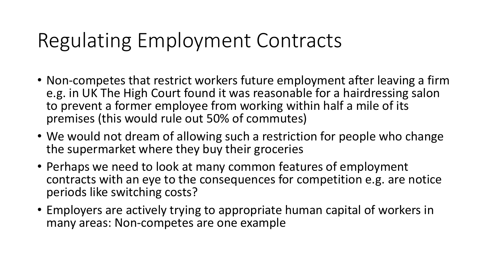## Regulating Employment Contracts

- Non-competes that restrict workers future employment after leaving a firm e.g. in UK The High Court found it was reasonable for a hairdressing salon to prevent a former employee from working within half a mile of its premises (this would rule out 50% of commutes)
- We would not dream of allowing such a restriction for people who change the supermarket where they buy their groceries
- Perhaps we need to look at many common features of employment contracts with an eye to the consequences for competition e.g. are notice periods like switching costs?
- Employers are actively trying to appropriate human capital of workers in many areas: Non-competes are one example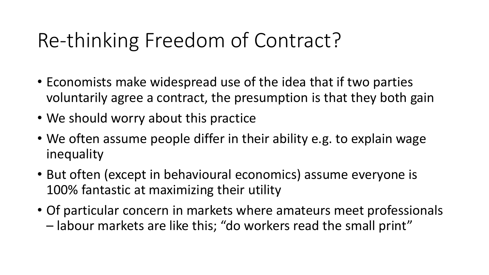## Re-thinking Freedom of Contract?

- Economists make widespread use of the idea that if two parties voluntarily agree a contract, the presumption is that they both gain
- We should worry about this practice
- We often assume people differ in their ability e.g. to explain wage inequality
- But often (except in behavioural economics) assume everyone is 100% fantastic at maximizing their utility
- Of particular concern in markets where amateurs meet professionals – labour markets are like this; "do workers read the small print"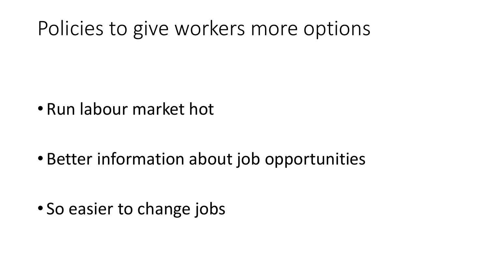#### Policies to give workers more options

• Run labour market hot

• Better information about job opportunities

• So easier to change jobs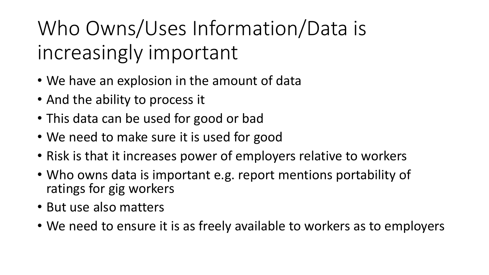Who Owns/Uses Information/Data is increasingly important

- We have an explosion in the amount of data
- And the ability to process it
- This data can be used for good or bad
- We need to make sure it is used for good
- Risk is that it increases power of employers relative to workers
- Who owns data is important e.g. report mentions portability of ratings for gig workers
- But use also matters
- We need to ensure it is as freely available to workers as to employers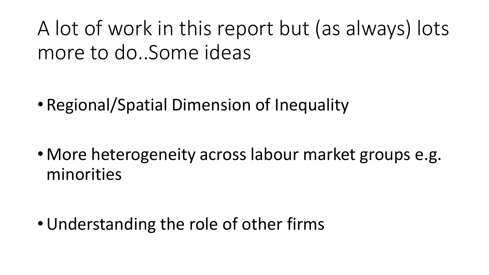A lot of work in this report but (as always) lots more to do..Some ideas

• Regional/Spatial Dimension of Inequality

• More heterogeneity across labour market groups e.g. minorities

•Understanding the role of other firms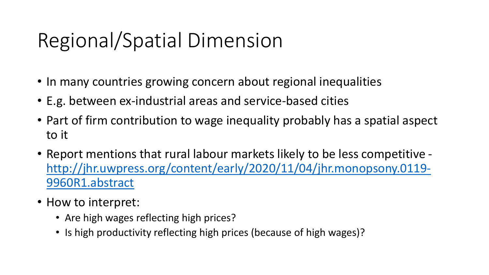# Regional/Spatial Dimension

- In many countries growing concern about regional inequalities
- E.g. between ex-industrial areas and service-based cities
- Part of firm contribution to wage inequality probably has a spatial aspect to it
- Report mentions that rural labour markets likely to be less competitive [http://jhr.uwpress.org/content/early/2020/11/04/jhr.monopsony.0119-](http://jhr.uwpress.org/content/early/2020/11/04/jhr.monopsony.0119-9960R1.abstract) 9960R1.abstract
- How to interpret:
	- Are high wages reflecting high prices?
	- Is high productivity reflecting high prices (because of high wages)?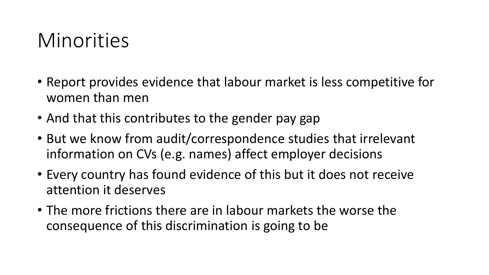#### Minorities

- Report provides evidence that labour market is less competitive for women than men
- And that this contributes to the gender pay gap
- But we know from audit/correspondence studies that irrelevant information on CVs (e.g. names) affect employer decisions
- Every country has found evidence of this but it does not receive attention it deserves
- The more frictions there are in labour markets the worse the consequence of this discrimination is going to be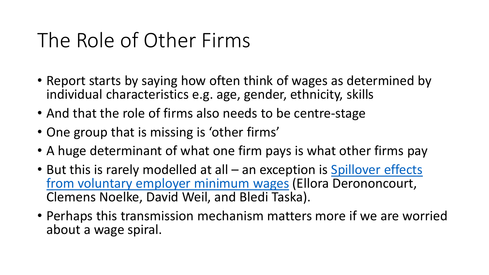### The Role of Other Firms

- Report starts by saying how often think of wages as determined by individual characteristics e.g. age, gender, ethnicity, skills
- And that the role of firms also needs to be centre-stage
- One group that is missing is 'other firms'
- A huge determinant of what one firm pays is what other firms pay
- But this is rarely modelled at all an exception is Spillover effects [from voluntary employer minimum wages](https://www.google.com/url?q=https%3A%2F%2Fwww.dropbox.com%2Fs%2Fillm97y1cbsf4yn%2FDNWT_NBER_2021.pdf%3Fdl%3D0&sa=D&sntz=1&usg=AFQjCNEzjn9oNWo-Fvrrx-6n4DkUXxwUjg) (Ellora Derononcourt, Clemens Noelke, David Weil, and Bledi Taska).
- Perhaps this transmission mechanism matters more if we are worried about a wage spiral.